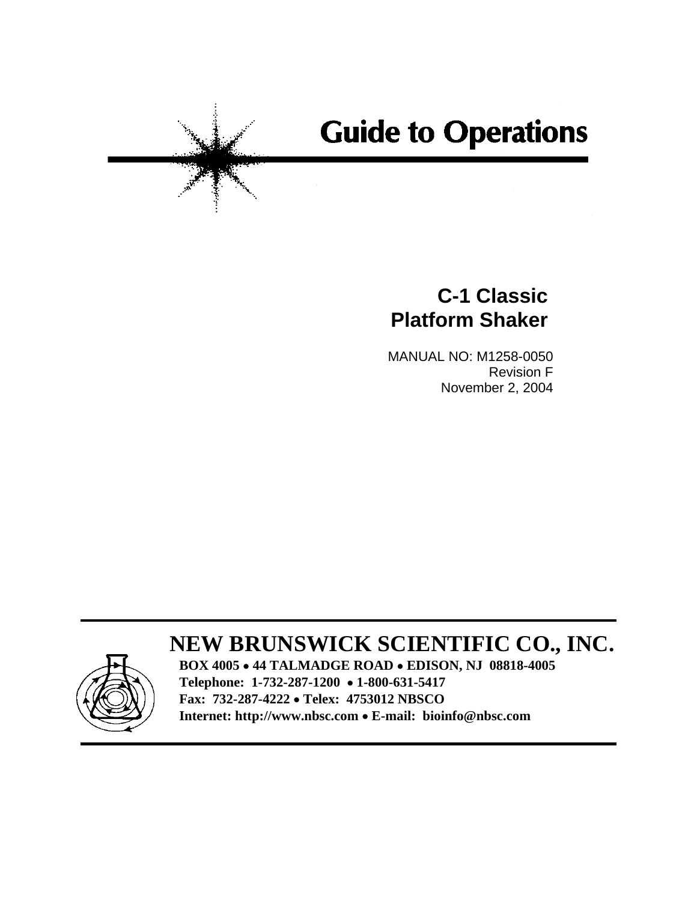# **Guide to Operations**

# **C-1 Classic Platform Shaker**

MANUAL NO: M1258-0050 Revision F November 2, 2004

# **NEW BRUNSWICK SCIENTIFIC CO., INC.**



**BOX 4005** • **44 TALMADGE ROAD** • **EDISON, NJ 08818-4005 Telephone: 1-732-287-1200** • **1-800-631-5417 Fax: 732-287-4222** • **Telex: 4753012 NBSCO Internet: http://www.nbsc.com** • **E-mail: bioinfo@nbsc.com**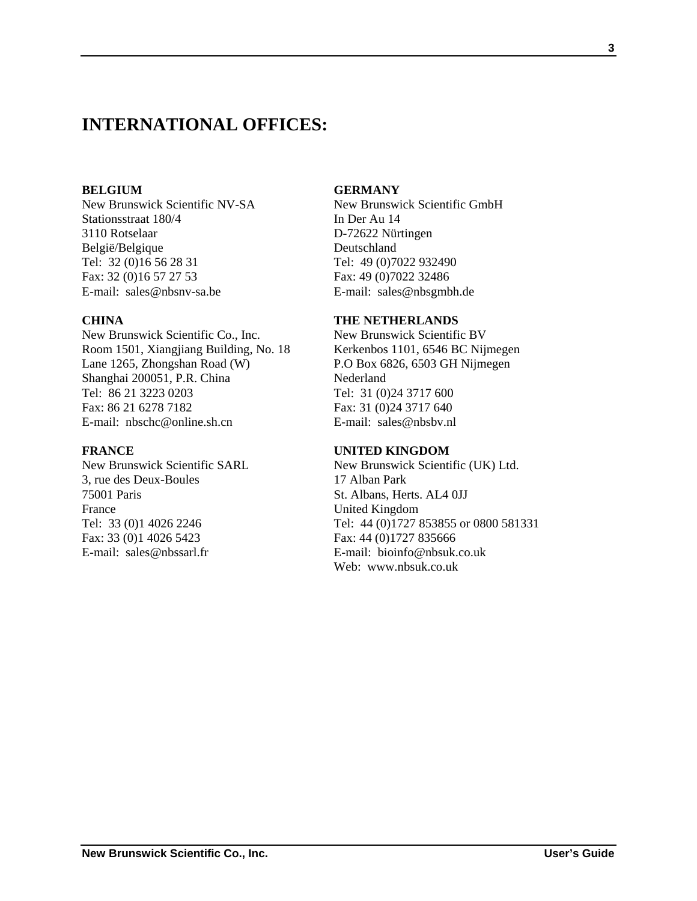## **INTERNATIONAL OFFICES:**

#### **BELGIUM**

New Brunswick Scientific NV-SA Stationsstraat 180/4 3110 Rotselaar België/Belgique Tel: 32 (0)16 56 28 31 Fax: 32 (0)16 57 27 53 E-mail: sales@nbsnv-sa.be

#### **CHINA**

New Brunswick Scientific Co., Inc. Room 1501, Xiangjiang Building, No. 18 Lane 1265, Zhongshan Road (W) Shanghai 200051, P.R. China Tel: 86 21 3223 0203 Fax: 86 21 6278 7182 E-mail:  $nbsche@online shcn$ 

#### **FRANCE**

New Brunswick Scientific SARL 3, rue des Deux-Boules 75001 Paris France Tel: 33 (0)1 4026 2246 Fax: 33 (0)1 4026 5423 E-mail: sales@nbssarl.fr

#### **GERMANY**

New Brunswick Scientific GmbH In Der Au 14 D-72622 Nürtingen Deutschland Tel: 49 (0)7022 932490 Fax: 49 (0)7022 32486 E-mail: sales@nbsgmbh.de

#### **THE NETHERLANDS**

New Brunswick Scientific BV Kerkenbos 1101, 6546 BC Nijmegen P.O Box 6826, 6503 GH Nijmegen Nederland Tel: 31 (0)24 3717 600 Fax: 31 (0)24 3717 640 E-mail: sales@nbsbv.nl

#### **UNITED KINGDOM**

New Brunswick Scientific (UK) Ltd. 17 Alban Park St. Albans, Herts. AL4 0JJ United Kingdom Tel: 44 (0)1727 853855 or 0800 581331 Fax: 44 (0)1727 835666 E-mail: bioinfo@nbsuk.co.uk Web: www.nbsuk.co.uk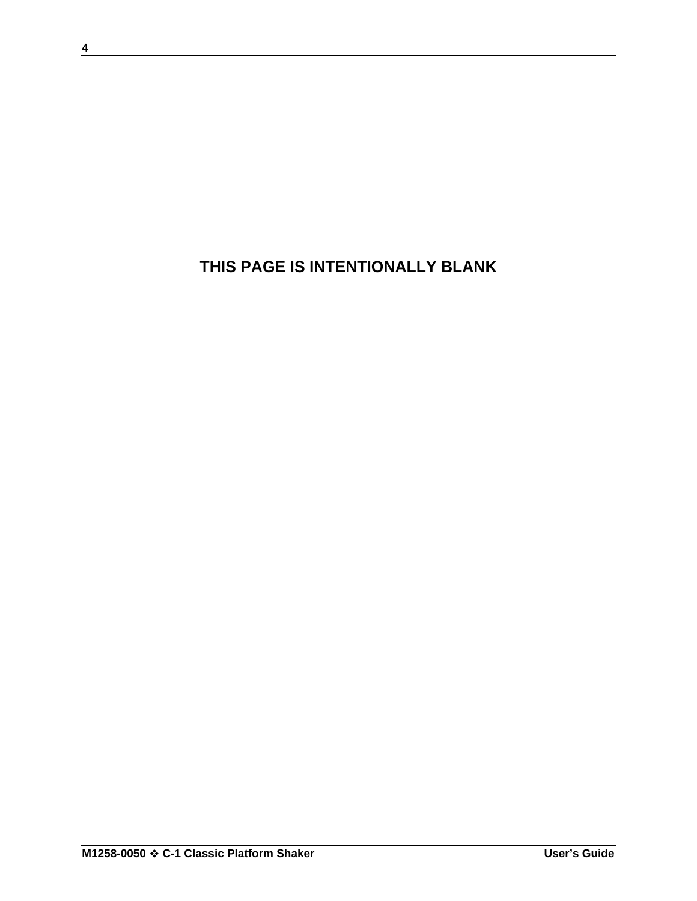<u> 1980 - Johann Barbara, martxa amerikan per</u>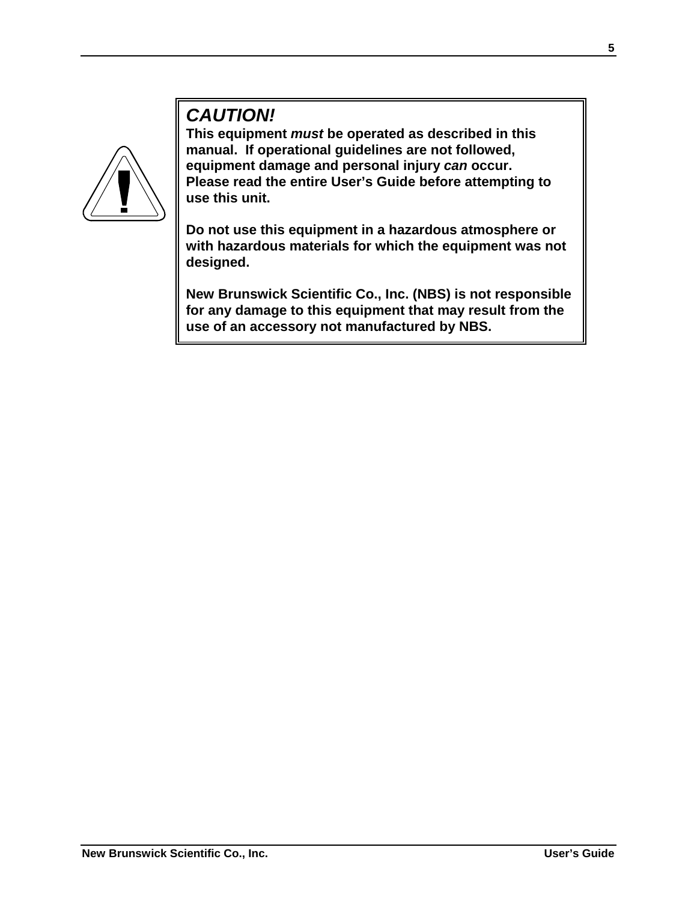

# *CAUTION!*

**This equipment** *must* **be operated as described in this manual. If operational guidelines are not followed, equipment damage and personal injury** *can* **occur. Please read the entire User's Guide before attempting to use this unit.** 

**Do not use this equipment in a hazardous atmosphere or with hazardous materials for which the equipment was not designed.** 

**New Brunswick Scientific Co., Inc. (NBS) is not responsible for any damage to this equipment that may result from the use of an accessory not manufactured by NBS.**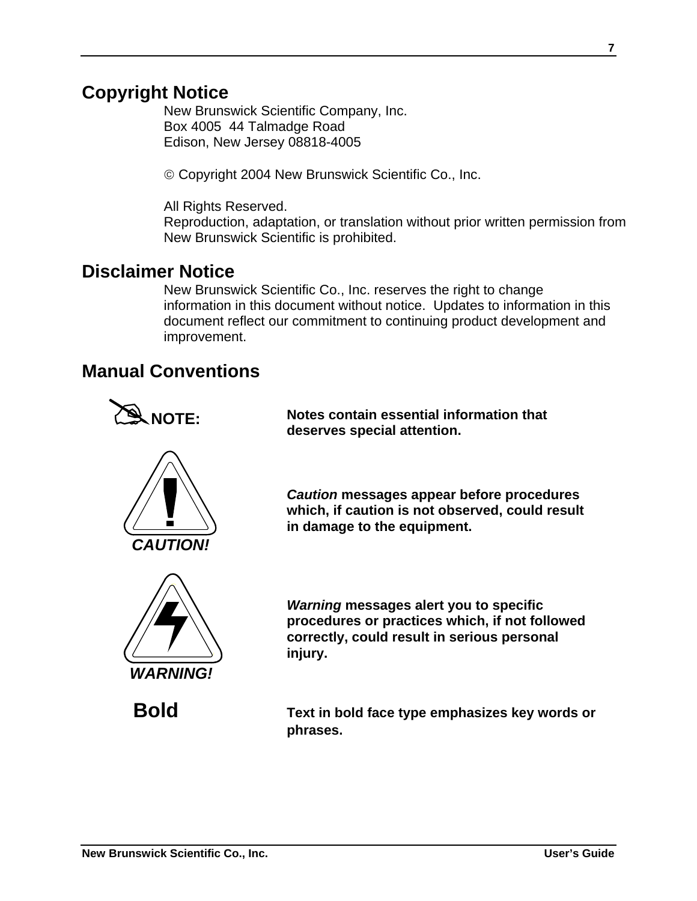## **Copyright Notice**

New Brunswick Scientific Company, Inc. Box 4005 44 Talmadge Road Edison, New Jersey 08818-4005

© Copyright 2004 New Brunswick Scientific Co., Inc.

All Rights Reserved.

Reproduction, adaptation, or translation without prior written permission from New Brunswick Scientific is prohibited.

## **Disclaimer Notice**

New Brunswick Scientific Co., Inc. reserves the right to change information in this document without notice. Updates to information in this document reflect our commitment to continuing product development and improvement.

## **Manual Conventions**



**Notes contain essential information that deserves special attention.** 

*Caution* **messages appear before procedures which, if caution is not observed, could result in damage to the equipment.** 



 *CAUTION!*

*Warning* **messages alert you to specific procedures or practices which, if not followed correctly, could result in serious personal injury.** 

**Bold Text in bold face type emphasizes key words or phrases.**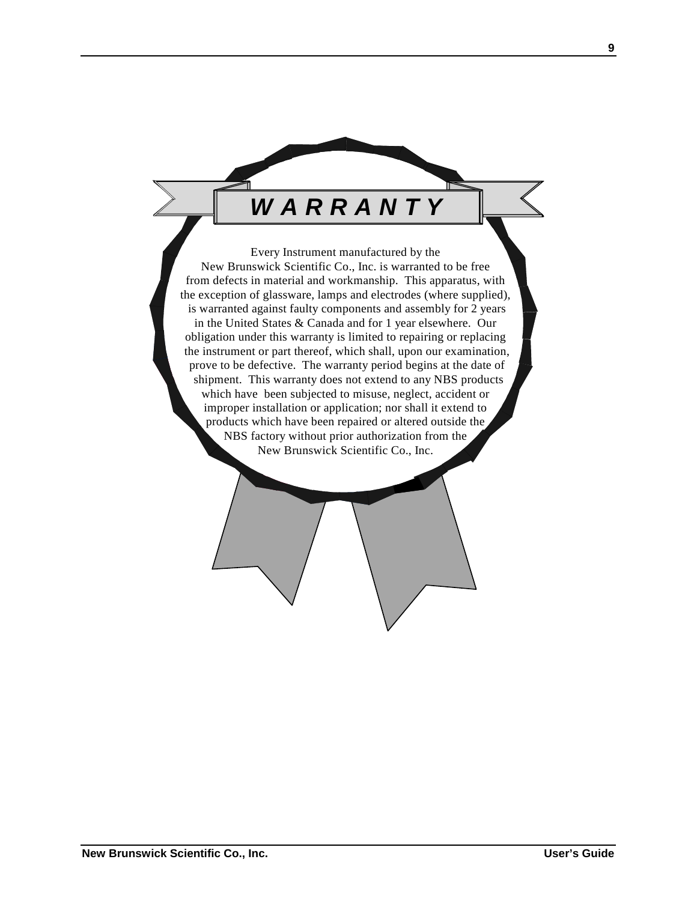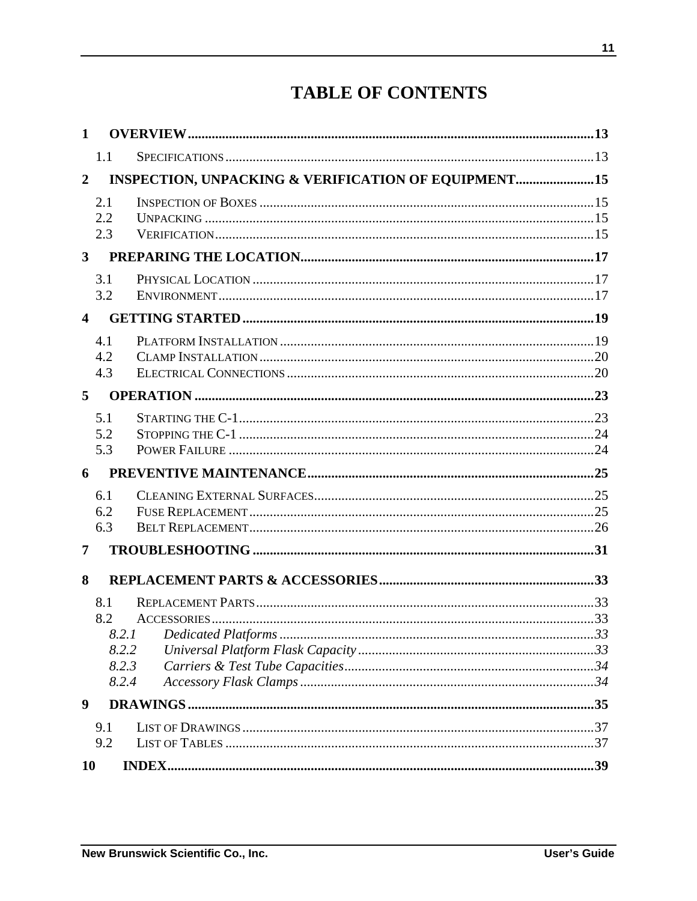# **TABLE OF CONTENTS**

| $\mathbf{1}$            |                                       |                                                     |  |
|-------------------------|---------------------------------------|-----------------------------------------------------|--|
|                         | 1.1                                   |                                                     |  |
| $\overline{2}$          |                                       | INSPECTION, UNPACKING & VERIFICATION OF EQUIPMENT15 |  |
|                         | 2.1<br>2.2<br>2.3                     |                                                     |  |
| $\mathbf{3}$            |                                       |                                                     |  |
|                         | 3.1<br>3.2                            |                                                     |  |
| $\overline{\mathbf{4}}$ |                                       |                                                     |  |
|                         | 4.1<br>4.2<br>4.3                     |                                                     |  |
| $\overline{5}$          |                                       |                                                     |  |
|                         | 5.1<br>5.2<br>5.3                     |                                                     |  |
| 6                       |                                       |                                                     |  |
|                         | 6.1<br>6.2<br>6.3                     |                                                     |  |
| 7                       |                                       |                                                     |  |
| 8                       |                                       |                                                     |  |
|                         | 8.1<br>8.2<br>8.2.2<br>8.2.3<br>8.2.4 |                                                     |  |
| 9                       |                                       |                                                     |  |
|                         | 9.1                                   |                                                     |  |
|                         | 9.2                                   |                                                     |  |
| <b>10</b>               |                                       |                                                     |  |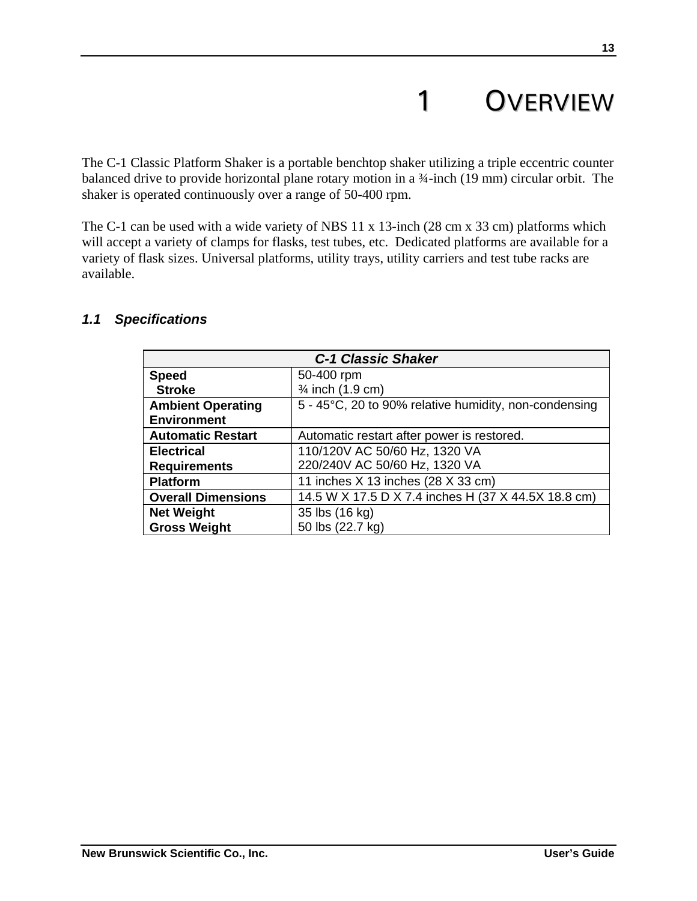# 1 OVERVIEW

<span id="page-12-0"></span>The C-1 Classic Platform Shaker is a portable benchtop shaker utilizing a triple eccentric counter balanced drive to provide horizontal plane rotary motion in a ¾-inch (19 mm) circular orbit. The shaker is operated continuously over a range of 50-400 rpm.

The C-1 can be used with a wide variety of NBS 11 x 13-inch (28 cm x 33 cm) platforms which will accept a variety of clamps for flasks, test tubes, etc. Dedicated platforms are available for a variety of flask sizes. Universal platforms, utility trays, utility carriers and test tube racks are available.

| <b>C-1 Classic Shaker</b> |                                                       |  |  |
|---------------------------|-------------------------------------------------------|--|--|
| <b>Speed</b>              | 50-400 rpm                                            |  |  |
| <b>Stroke</b>             | $\frac{3}{4}$ inch (1.9 cm)                           |  |  |
| <b>Ambient Operating</b>  | 5 - 45°C, 20 to 90% relative humidity, non-condensing |  |  |
| <b>Environment</b>        |                                                       |  |  |
| <b>Automatic Restart</b>  | Automatic restart after power is restored.            |  |  |
| <b>Electrical</b>         | 110/120V AC 50/60 Hz, 1320 VA                         |  |  |
| <b>Requirements</b>       | 220/240V AC 50/60 Hz, 1320 VA                         |  |  |
| <b>Platform</b>           | 11 inches X 13 inches (28 X 33 cm)                    |  |  |
| <b>Overall Dimensions</b> | 14.5 W X 17.5 D X 7.4 inches H (37 X 44.5X 18.8 cm)   |  |  |
| <b>Net Weight</b>         | 35 lbs (16 kg)                                        |  |  |
| <b>Gross Weight</b>       | 50 lbs (22.7 kg)                                      |  |  |

#### *1.1 Specifications*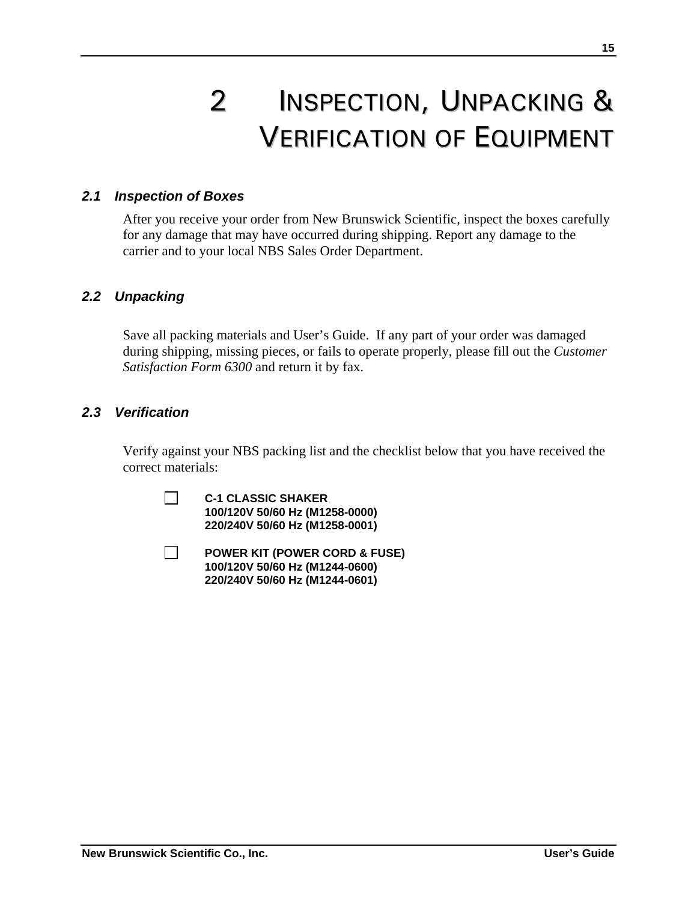# 2 INSPECTION, UNPACKING & VERIFICATION OF EQUIPMENT

#### <span id="page-14-0"></span>*2.1 Inspection of Boxes*

After you receive your order from New Brunswick Scientific, inspect the boxes carefully for any damage that may have occurred during shipping. Report any damage to the carrier and to your local NBS Sales Order Department.

#### *2.2 Unpacking*

Save all packing materials and User's Guide. If any part of your order was damaged during shipping, missing pieces, or fails to operate properly, please fill out the *Customer Satisfaction Form 6300* and return it by fax.

#### *2.3 Verification*

П

Verify against your NBS packing list and the checklist below that you have received the correct materials:

> **C-1 CLASSIC SHAKER 100/120V 50/60 Hz (M1258-0000) 220/240V 50/60 Hz (M1258-0001)**

 $\Box$ **POWER KIT (POWER CORD & FUSE) 100/120V 50/60 Hz (M1244-0600) 220/240V 50/60 Hz (M1244-0601)**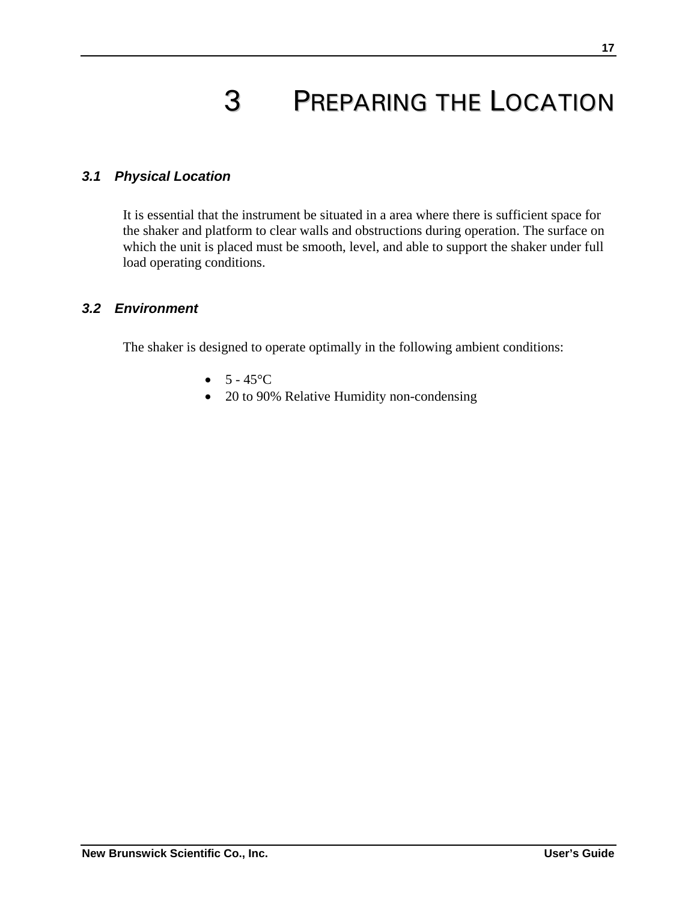# 3 PREPARING THE LOCATION

#### <span id="page-16-0"></span>*3.1 Physical Location*

It is essential that the instrument be situated in a area where there is sufficient space for the shaker and platform to clear walls and obstructions during operation. The surface on which the unit is placed must be smooth, level, and able to support the shaker under full load operating conditions.

#### *3.2 Environment*

The shaker is designed to operate optimally in the following ambient conditions:

- $5 45^{\circ}C$
- 20 to 90% Relative Humidity non-condensing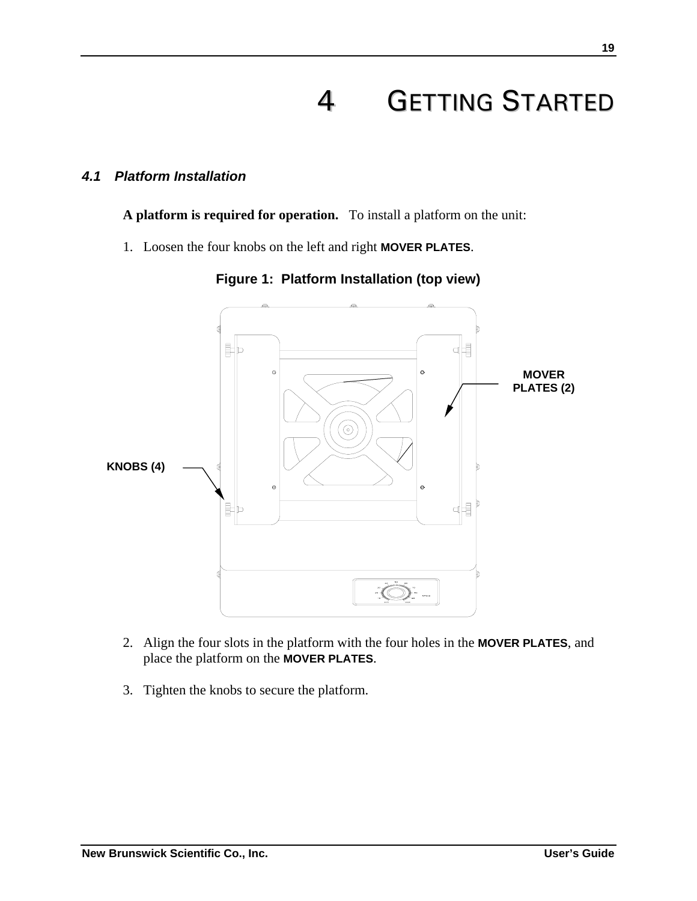# 4 GETTING STARTED

#### <span id="page-18-0"></span>*4.1 Platform Installation*

**A platform is required for operation.** To install a platform on the unit:

1. Loosen the four knobs on the left and right **MOVER PLATES**.



**Figure 1: Platform Installation (top view)** 

2. Align the four slots in the platform with the four holes in the **MOVER PLATES**, and place the platform on the **MOVER PLATES**.

 $\odot$ 

3. Tighten the knobs to secure the platform.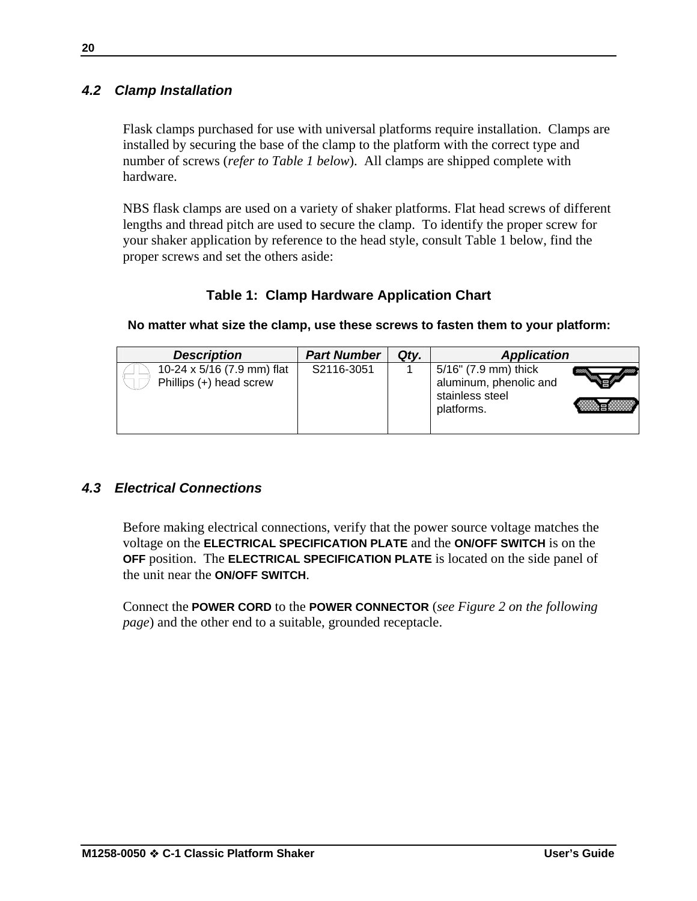#### *4.2 Clamp Installation*

Flask clamps purchased for use with universal platforms require installation. Clamps are installed by securing the base of the clamp to the platform with the correct type and number of screws (*refer to Table 1 below*). All clamps are shipped complete with hardware.

NBS flask clamps are used on a variety of shaker platforms. Flat head screws of different lengths and thread pitch are used to secure the clamp. To identify the proper screw for your shaker application by reference to the head style, consult Table 1 below, find the proper screws and set the others aside:

#### **Table 1: Clamp Hardware Application Chart**

**No matter what size the clamp, use these screws to fasten them to your platform:** 

| <b>Description</b>                                    | <b>Part Number</b> | Qty. | <b>Application</b>                                                              |  |
|-------------------------------------------------------|--------------------|------|---------------------------------------------------------------------------------|--|
| 10-24 x 5/16 (7.9 mm) flat<br>Phillips (+) head screw | S2116-3051         |      | 5/16" (7.9 mm) thick<br>aluminum, phenolic and<br>stainless steel<br>platforms. |  |

#### *4.3 Electrical Connections*

Before making electrical connections, verify that the power source voltage matches the voltage on the **ELECTRICAL SPECIFICATION PLATE** and the **ON/OFF SWITCH** is on the **OFF** position. The **ELECTRICAL SPECIFICATION PLATE** is located on the side panel of the unit near the **ON/OFF SWITCH**.

Connect the **POWER CORD** to the **POWER CONNECTOR** (*see Figure 2 on the following page*) and the other end to a suitable, grounded receptacle.

<span id="page-19-0"></span>**20**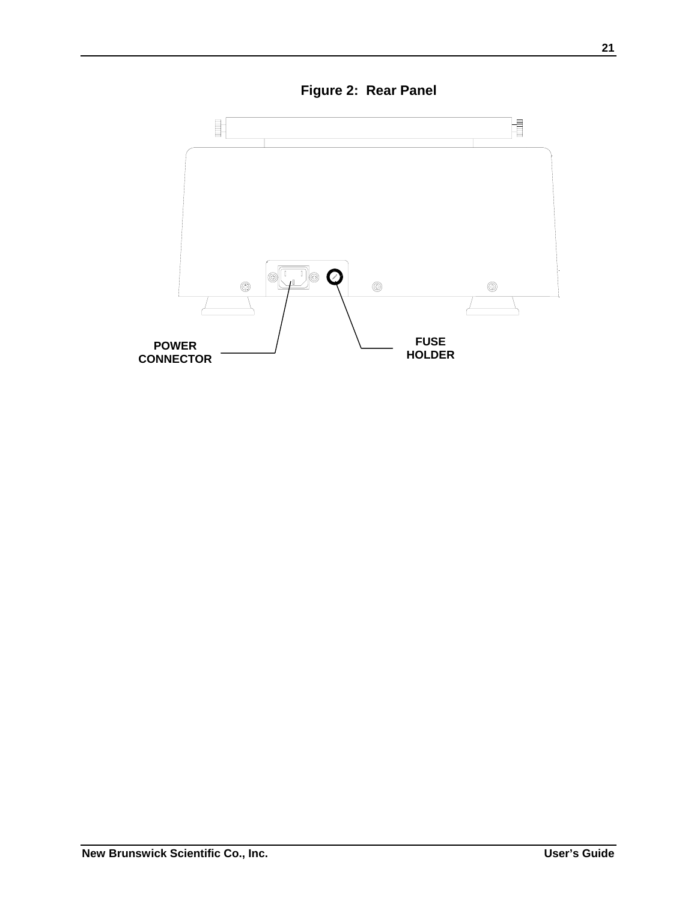**Figure 2: Rear Panel** 

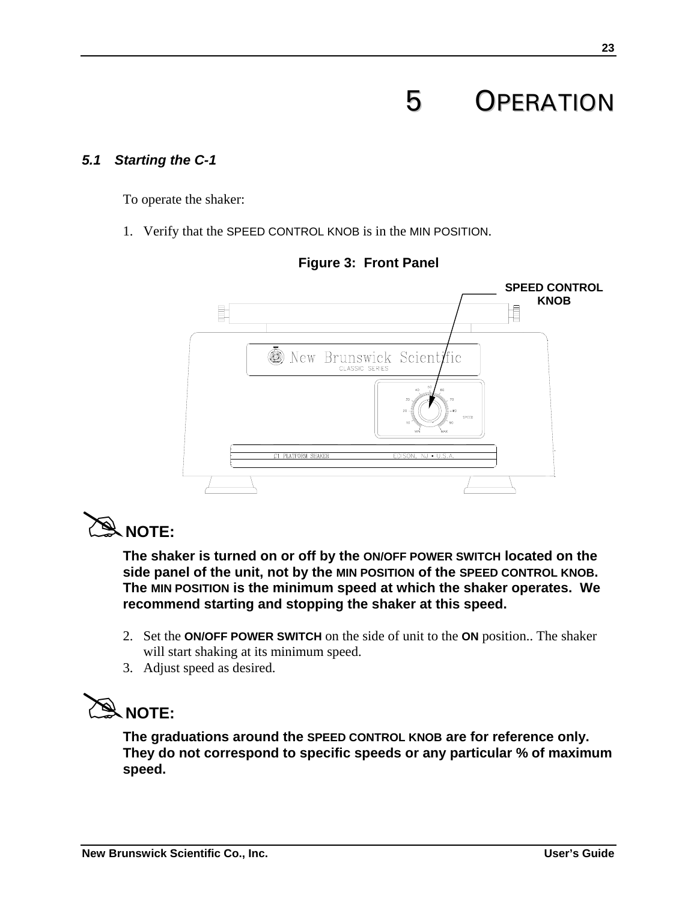# 5 OPERATION

#### <span id="page-22-0"></span>*5.1 Starting the C-1*

To operate the shaker:

1. Verify that the SPEED CONTROL KNOB is in the MIN POSITION.



#### **Figure 3: Front Panel**

# $\rightarrow$  NOTE:

**The shaker is turned on or off by the ON/OFF POWER SWITCH located on the side panel of the unit, not by the MIN POSITION of the SPEED CONTROL KNOB. The MIN POSITION is the minimum speed at which the shaker operates. We recommend starting and stopping the shaker at this speed.** 

- 2. Set the **ON/OFF POWER SWITCH** on the side of unit to the **ON** position.. The shaker will start shaking at its minimum speed.
- 3. Adjust speed as desired.

# $\rightarrow$  NOTE:

**The graduations around the SPEED CONTROL KNOB are for reference only. They do not correspond to specific speeds or any particular % of maximum speed.**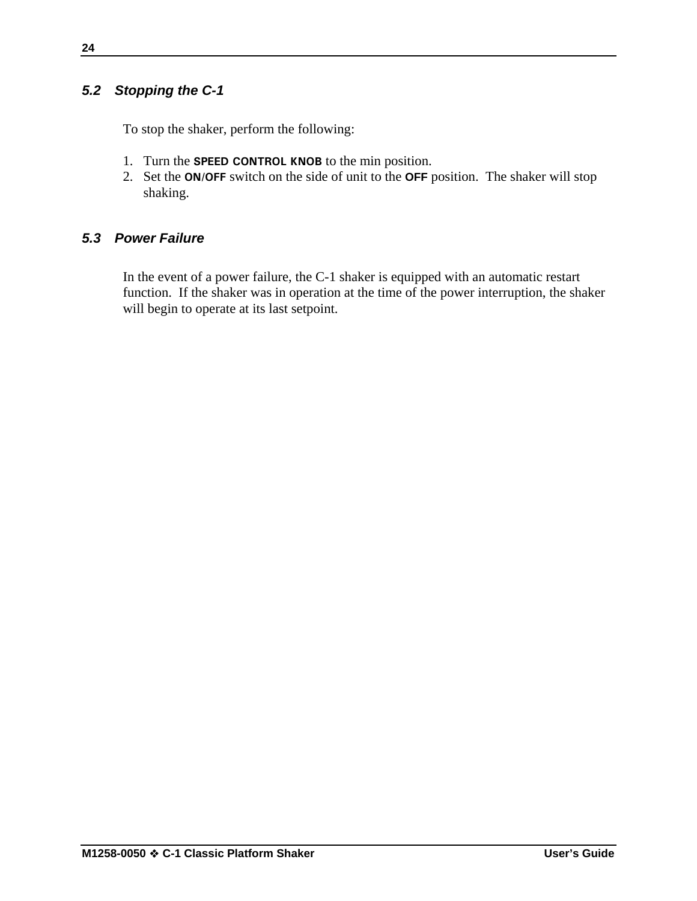#### <span id="page-23-0"></span>*5.2 Stopping the C-1*

To stop the shaker, perform the following:

- 1. Turn the **SPEED CONTROL KNOB** to the min position.
- 2. Set the **ON/OFF** switch on the side of unit to the **OFF** position. The shaker will stop shaking.

#### *5.3 Power Failure*

In the event of a power failure, the C-1 shaker is equipped with an automatic restart function. If the shaker was in operation at the time of the power interruption, the shaker will begin to operate at its last setpoint.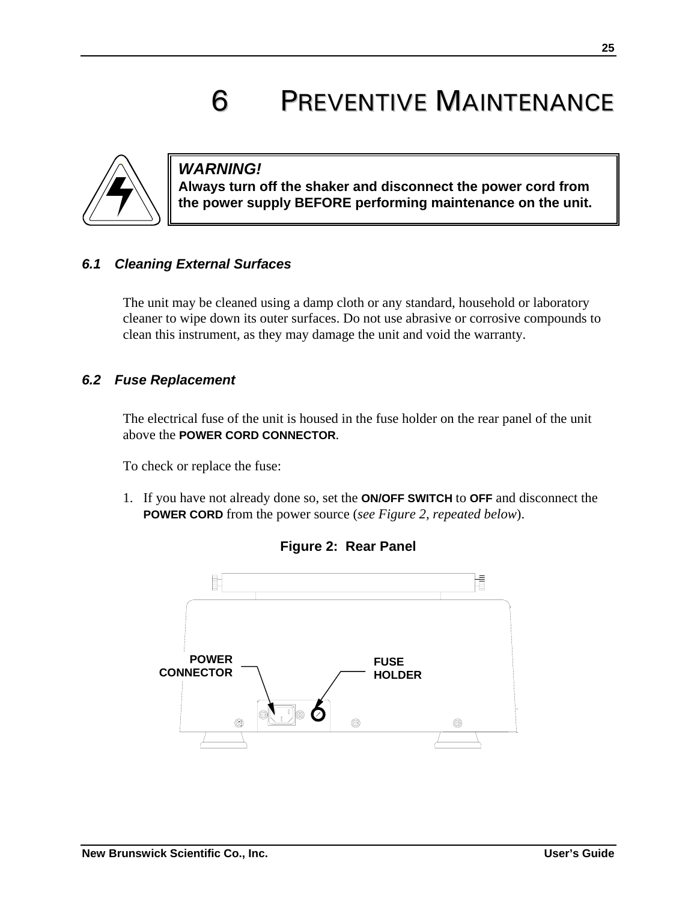# 6 PREVENTIVE MAINTENANCE

<span id="page-24-0"></span>

#### *WARNING!*

**Always turn off the shaker and disconnect the power cord from the power supply BEFORE performing maintenance on the unit.**

#### *6.1 Cleaning External Surfaces*

The unit may be cleaned using a damp cloth or any standard, household or laboratory cleaner to wipe down its outer surfaces. Do not use abrasive or corrosive compounds to clean this instrument, as they may damage the unit and void the warranty.

#### *6.2 Fuse Replacement*

The electrical fuse of the unit is housed in the fuse holder on the rear panel of the unit above the **POWER CORD CONNECTOR**.

To check or replace the fuse:

1. If you have not already done so, set the **ON/OFF SWITCH** to **OFF** and disconnect the **POWER CORD** from the power source (*see Figure 2, repeated below*).



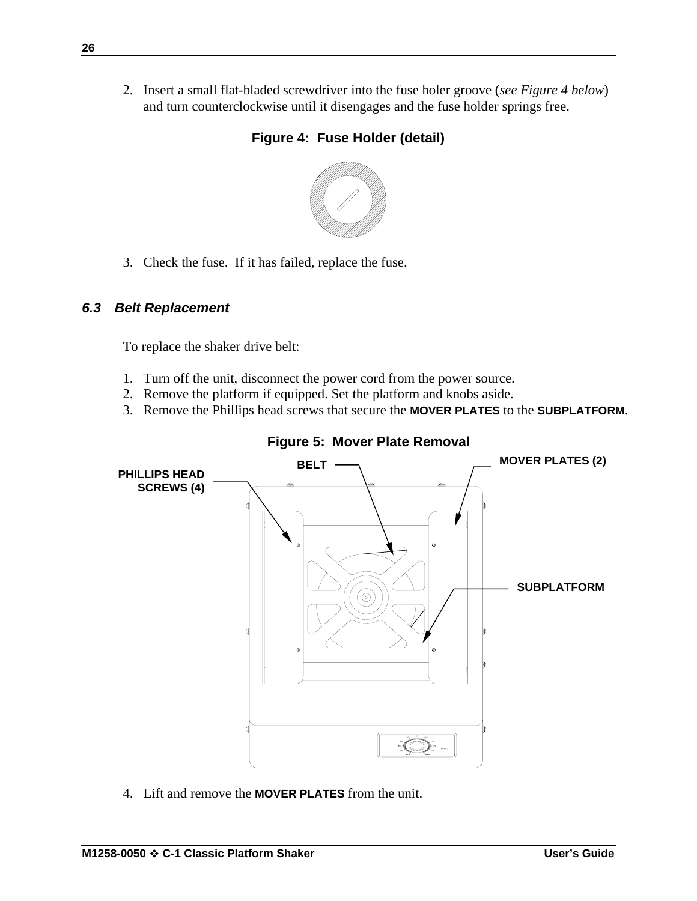<span id="page-25-0"></span>2. Insert a small flat-bladed screwdriver into the fuse holer groove (*see Figure 4 below*) and turn counterclockwise until it disengages and the fuse holder springs free.

**Figure 4: Fuse Holder (detail)**



3. Check the fuse. If it has failed, replace the fuse.

#### *6.3 Belt Replacement*

To replace the shaker drive belt:

- 1. Turn off the unit, disconnect the power cord from the power source.
- 2. Remove the platform if equipped. Set the platform and knobs aside.
- 3. Remove the Phillips head screws that secure the **MOVER PLATES** to the **SUBPLATFORM**.



**Figure 5: Mover Plate Removal** 

4. Lift and remove the **MOVER PLATES** from the unit.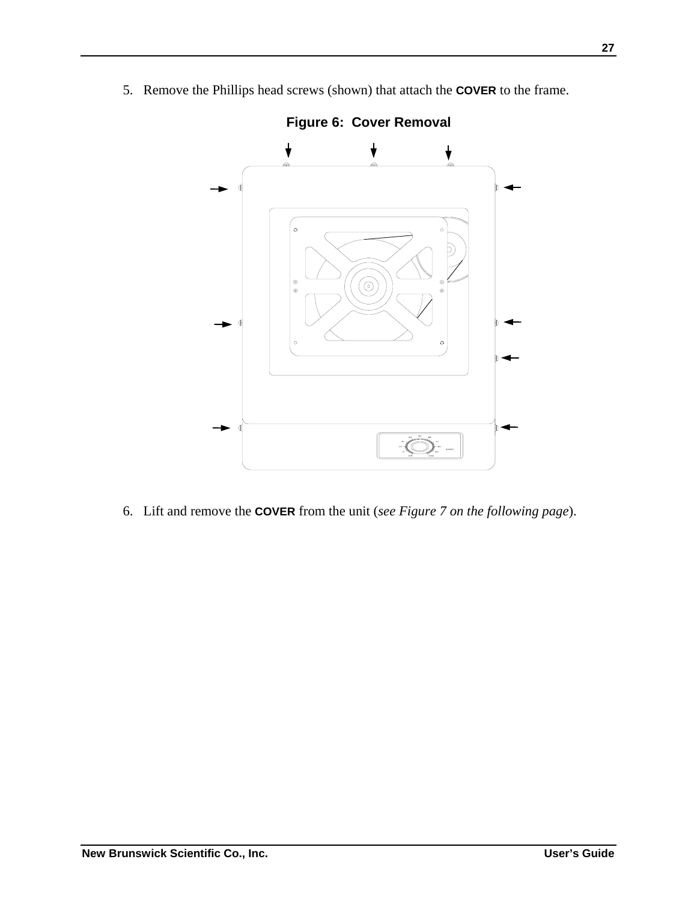5. Remove the Phillips head screws (shown) that attach the **COVER** to the frame.



**Figure 6: Cover Removal** 

6. Lift and remove the **COVER** from the unit (*see Figure 7 on the following page*).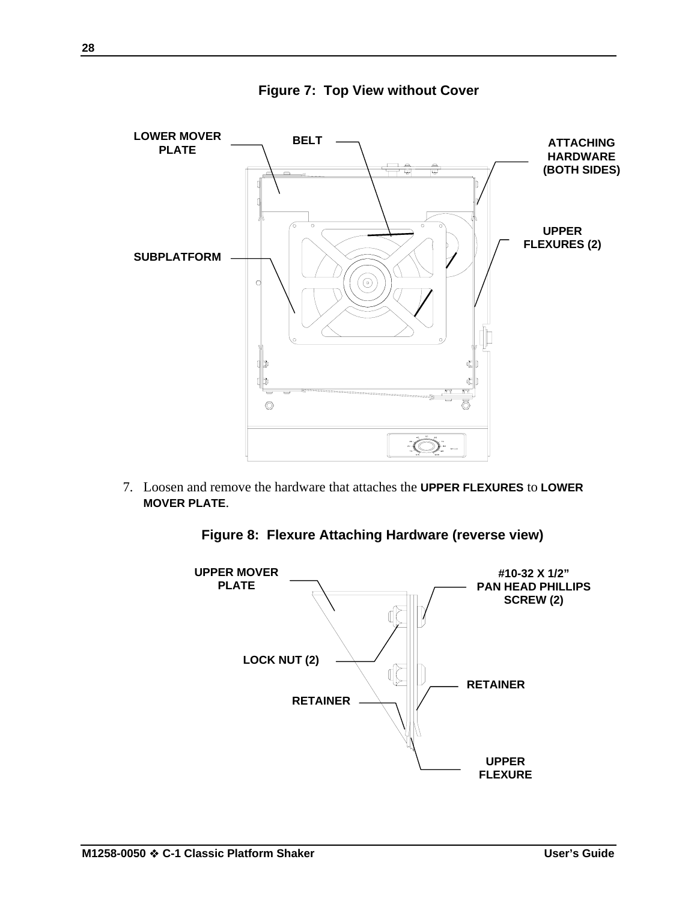

**Figure 7: Top View without Cover** 

7. Loosen and remove the hardware that attaches the **UPPER FLEXURES** to **LOWER MOVER PLATE**.



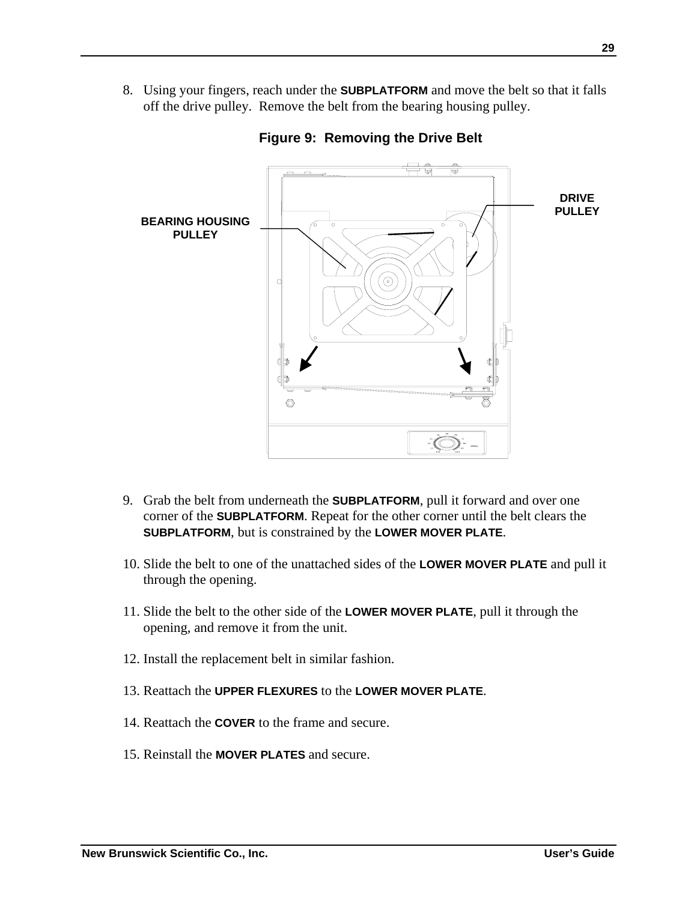8. Using your fingers, reach under the **SUBPLATFORM** and move the belt so that it falls off the drive pulley. Remove the belt from the bearing housing pulley.



 **Figure 9: Removing the Drive Belt** 

- 9. Grab the belt from underneath the **SUBPLATFORM**, pull it forward and over one corner of the **SUBPLATFORM**. Repeat for the other corner until the belt clears the **SUBPLATFORM**, but is constrained by the **LOWER MOVER PLATE**.
- 10. Slide the belt to one of the unattached sides of the **LOWER MOVER PLATE** and pull it through the opening.
- 11. Slide the belt to the other side of the **LOWER MOVER PLATE**, pull it through the opening, and remove it from the unit.
- 12. Install the replacement belt in similar fashion.
- 13. Reattach the **UPPER FLEXURES** to the **LOWER MOVER PLATE**.
- 14. Reattach the **COVER** to the frame and secure.
- 15. Reinstall the **MOVER PLATES** and secure.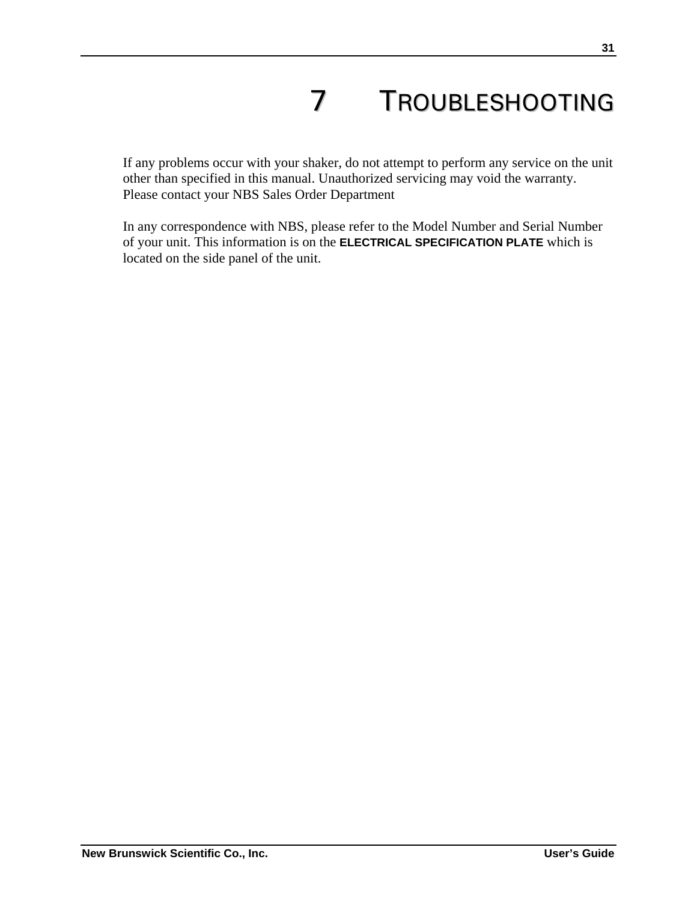# 7 TROUBLESHOOTING

If any problems occur with your shaker, do not attempt to perform any service on the unit other than specified in this manual. Unauthorized servicing may void the warranty. Please contact your NBS Sales Order Department

<span id="page-30-0"></span> **31**

In any correspondence with NBS, please refer to the Model Number and Serial Number of your unit. This information is on the **ELECTRICAL SPECIFICATION PLATE** which is located on the side panel of the unit.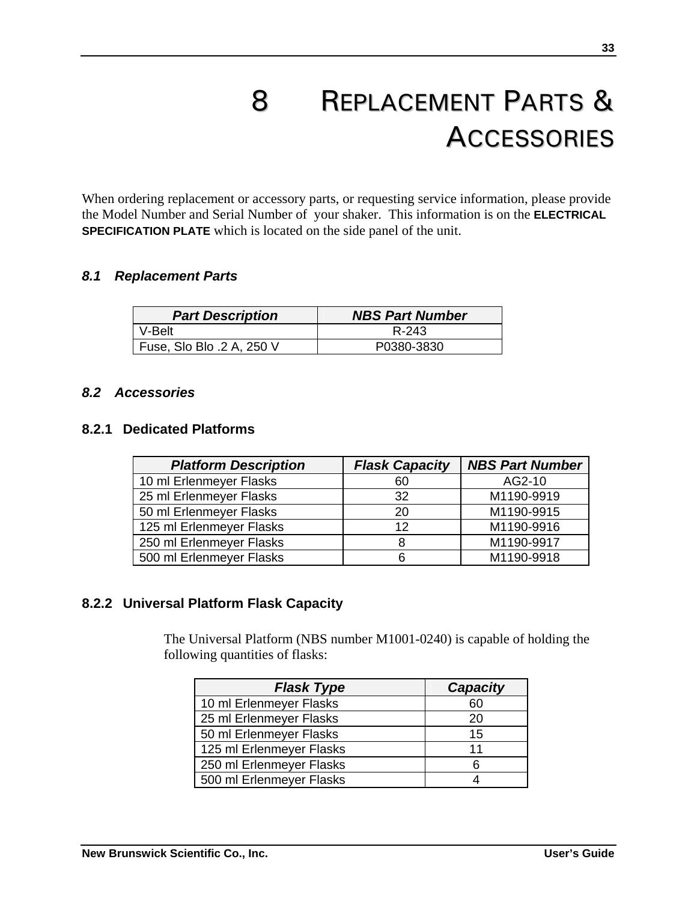# 8 REPLACEMENT PARTS & **ACCESSORIES**

<span id="page-32-0"></span>When ordering replacement or accessory parts, or requesting service information, please provide the Model Number and Serial Number of your shaker. This information is on the **ELECTRICAL SPECIFICATION PLATE** which is located on the side panel of the unit.

#### *8.1 Replacement Parts*

| <b>Part Description</b>   | <b>NBS Part Number</b> |
|---------------------------|------------------------|
| V-Belt                    | R-243                  |
| Fuse, Slo Blo .2 A, 250 V | P0380-3830             |

#### *8.2 Accessories*

#### **8.2.1 Dedicated Platforms**

| <b>Platform Description</b> | <b>Flask Capacity</b> | <b>NBS Part Number</b> |
|-----------------------------|-----------------------|------------------------|
| 10 ml Erlenmeyer Flasks     | 60                    | AG2-10                 |
| 25 ml Erlenmeyer Flasks     | 32                    | M1190-9919             |
| 50 ml Erlenmeyer Flasks     | 20                    | M1190-9915             |
| 125 ml Erlenmeyer Flasks    | 12                    | M1190-9916             |
| 250 ml Erlenmeyer Flasks    | 8                     | M1190-9917             |
| 500 ml Erlenmeyer Flasks    | 6                     | M1190-9918             |

#### **8.2.2 Universal Platform Flask Capacity**

The Universal Platform (NBS number M1001-0240) is capable of holding the following quantities of flasks:

| <b>Flask Type</b>        | Capacity |
|--------------------------|----------|
| 10 ml Erlenmeyer Flasks  | 60       |
| 25 ml Erlenmeyer Flasks  | 20       |
| 50 ml Erlenmeyer Flasks  | 15       |
| 125 ml Erlenmeyer Flasks | 11       |
| 250 ml Erlenmeyer Flasks | ิค       |
| 500 ml Erlenmeyer Flasks |          |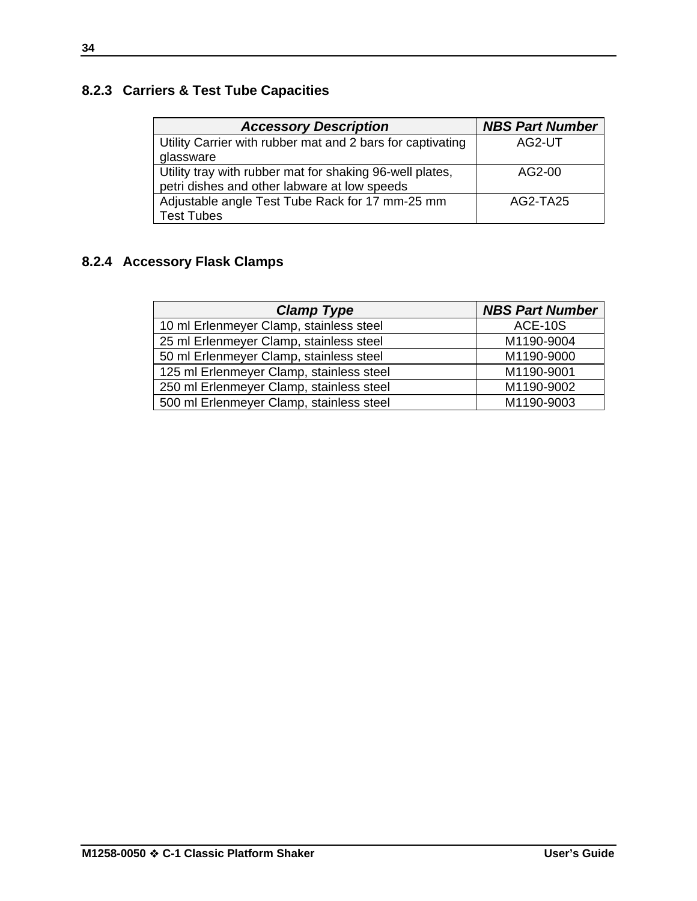### <span id="page-33-0"></span>**8.2.3 Carriers & Test Tube Capacities**

| <b>Accessory Description</b>                               | <b>NBS Part Number</b> |
|------------------------------------------------------------|------------------------|
| Utility Carrier with rubber mat and 2 bars for captivating | AG2-UT                 |
| glassware                                                  |                        |
| Utility tray with rubber mat for shaking 96-well plates,   | $AG2-00$               |
| petri dishes and other labware at low speeds               |                        |
| Adjustable angle Test Tube Rack for 17 mm-25 mm            | AG2-TA25               |
| <b>Test Tubes</b>                                          |                        |

### **8.2.4 Accessory Flask Clamps**

| <b>Clamp Type</b>                        | <b>NBS Part Number</b> |
|------------------------------------------|------------------------|
| 10 ml Erlenmeyer Clamp, stainless steel  | ACE-10S                |
| 25 ml Erlenmeyer Clamp, stainless steel  | M1190-9004             |
| 50 ml Erlenmeyer Clamp, stainless steel  | M1190-9000             |
| 125 ml Erlenmeyer Clamp, stainless steel | M1190-9001             |
| 250 ml Erlenmeyer Clamp, stainless steel | M1190-9002             |
| 500 ml Erlenmeyer Clamp, stainless steel | M1190-9003             |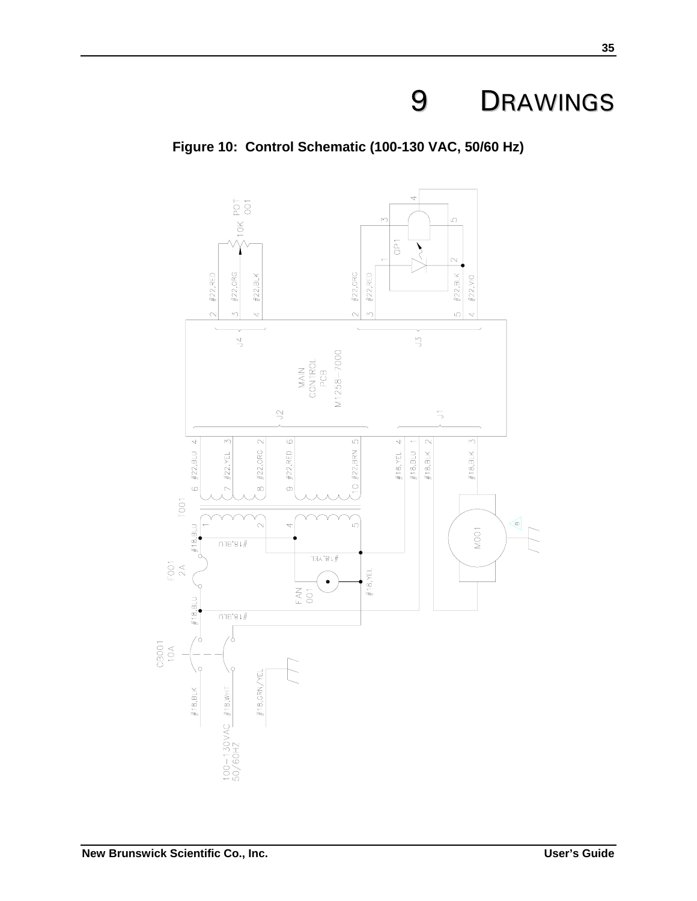# 9 DRAWINGS

<span id="page-34-0"></span>

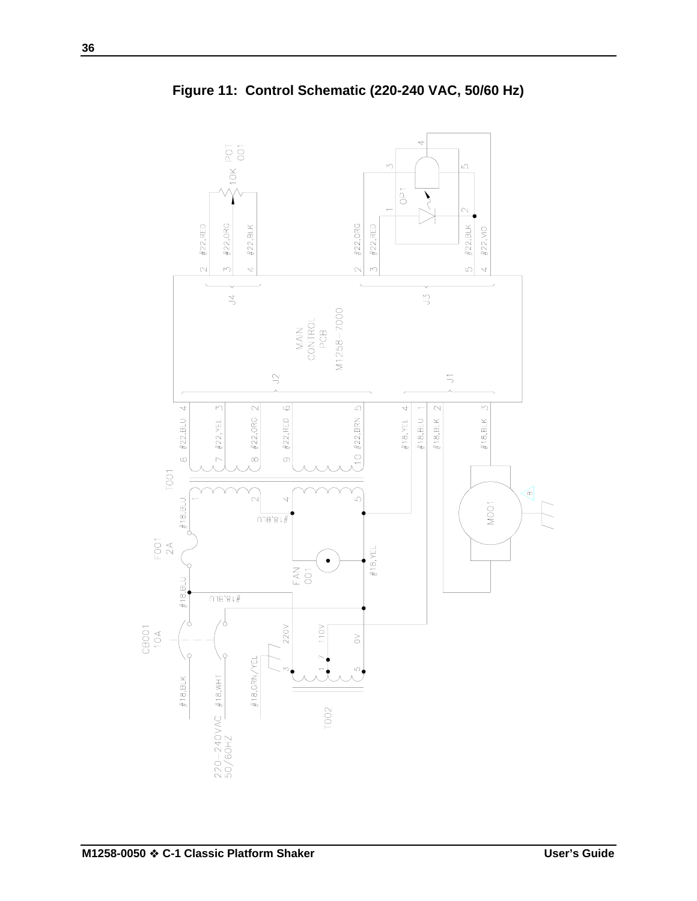

**Figure 11: Control Schematic (220-240 VAC, 50/60 Hz)**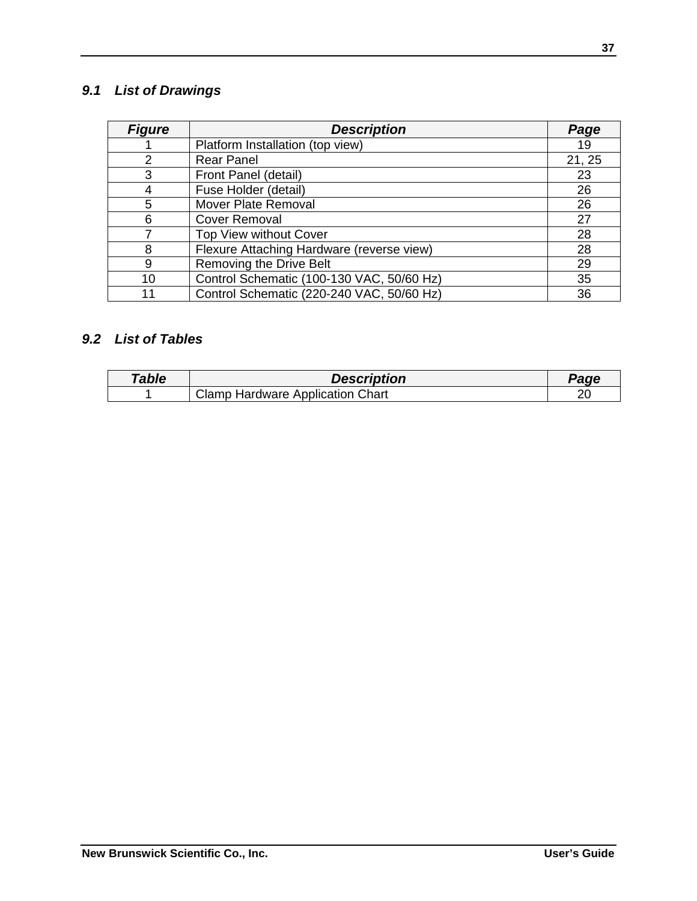### <span id="page-36-0"></span>*9.1 List of Drawings*

| <b>Figure</b> | <b>Description</b>                        | Page   |
|---------------|-------------------------------------------|--------|
|               | Platform Installation (top view)          | 19     |
| 2             | <b>Rear Panel</b>                         | 21, 25 |
| 3             | Front Panel (detail)                      | 23     |
| 4             | Fuse Holder (detail)                      | 26     |
| 5             | Mover Plate Removal                       | 26     |
| 6             | <b>Cover Removal</b>                      | 27     |
|               | <b>Top View without Cover</b>             | 28     |
| 8             | Flexure Attaching Hardware (reverse view) | 28     |
| 9             | Removing the Drive Belt                   | 29     |
| 10            | Control Schematic (100-130 VAC, 50/60 Hz) | 35     |
|               | Control Schematic (220-240 VAC, 50/60 Hz) | 36     |

#### *9.2 List of Tables*

| <b>Table</b> | <b>Description</b>                      | $P$ ade |
|--------------|-----------------------------------------|---------|
|              | <b>Clamp Hardware Application Chart</b> |         |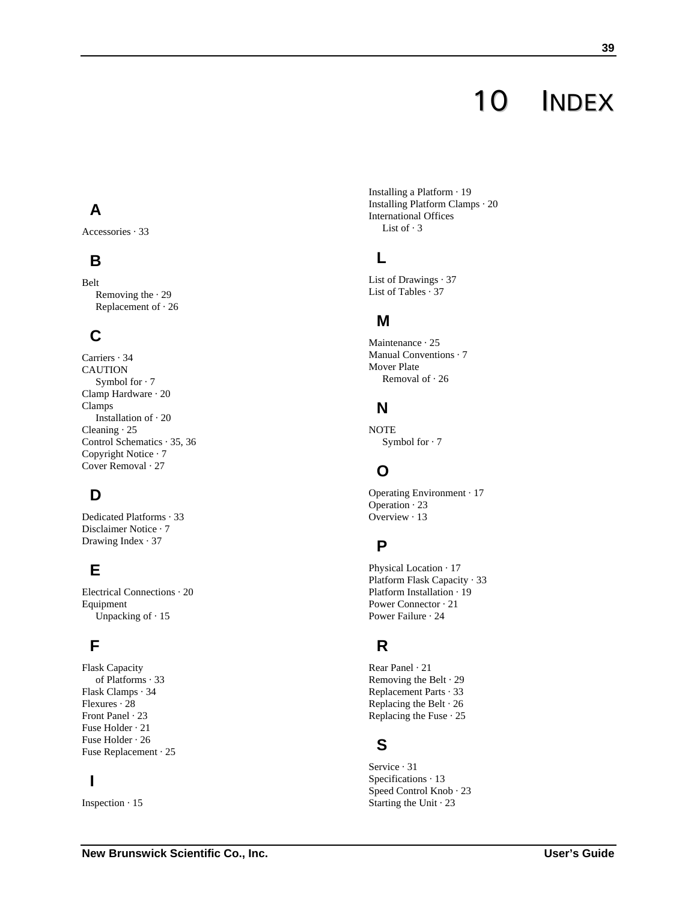# 10 INDEX

## <span id="page-38-0"></span>**A**

Accessories · 33

### **B**

Belt Removing the · 29 Replacement of · 26

# **C**

Carriers · 34 **CAUTION** Symbol for · 7 Clamp Hardware · 20 Clamps Installation of · 20 Cleaning · 25 Control Schematics · 35, 36 Copyright Notice · 7 Cover Removal · 27

# **D**

Dedicated Platforms · 33 Disclaimer Notice · 7 Drawing Index · 37

# **E**

Electrical Connections · 20 Equipment Unpacking of  $\cdot$  15

### **F**

Flask Capacity of Platforms · 33 Flask Clamps · 34 Flexures · 28 Front Panel · 23 Fuse Holder · 21 Fuse Holder · 26 Fuse Replacement · 25

### **I**

Inspection · 15

Installing a Platform · 19 Installing Platform Clamps · 20 International Offices List of  $\cdot$  3

# **L**

List of Drawings · 37 List of Tables · 37

### **M**

Maintenance · 25 Manual Conventions · 7 Mover Plate Removal of · 26

## **N**

NOTE Symbol for · 7

# **O**

Operating Environment · 17 Operation · 23 Overview · 13

### **P**

Physical Location · 17 Platform Flask Capacity · 33 Platform Installation · 19 Power Connector · 21 Power Failure · 24

# **R**

Rear Panel · 21 Removing the Belt · 29 Replacement Parts · 33 Replacing the Belt · 26 Replacing the Fuse · 25

### **S**

Service · 31 Specifications · 13 Speed Control Knob · 23 Starting the Unit · 23